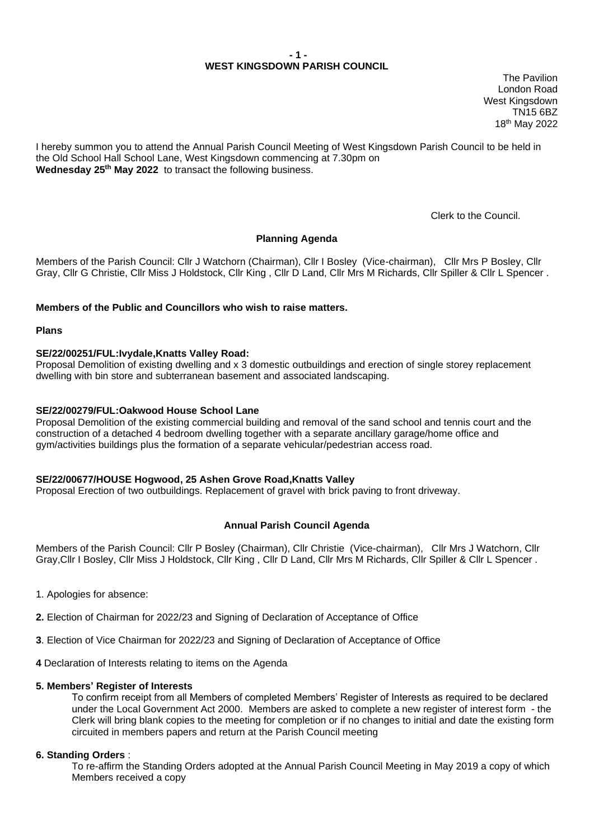## **- 1 - WEST KINGSDOWN PARISH COUNCIL**

The Pavilion London Road West Kingsdown TN15 6BZ 18 th May 2022

I hereby summon you to attend the Annual Parish Council Meeting of West Kingsdown Parish Council to be held in the Old School Hall School Lane, West Kingsdown commencing at 7.30pm on **Wednesday 25 th May 2022** to transact the following business.

Clerk to the Council.

# **Planning Agenda**

Members of the Parish Council: Cllr J Watchorn (Chairman), Cllr I Bosley (Vice-chairman), Cllr Mrs P Bosley, Cllr Gray, Cllr G Christie, Cllr Miss J Holdstock, Cllr King , Cllr D Land, Cllr Mrs M Richards, Cllr Spiller & Cllr L Spencer .

## **Members of the Public and Councillors who wish to raise matters.**

**Plans**

## **SE/22/00251/FUL:Ivydale,Knatts Valley Road:**

Proposal Demolition of existing dwelling and x 3 domestic outbuildings and erection of single storey replacement dwelling with bin store and subterranean basement and associated landscaping.

## **SE/22/00279/FUL:Oakwood House School Lane**

Proposal Demolition of the existing commercial building and removal of the sand school and tennis court and the construction of a detached 4 bedroom dwelling together with a separate ancillary garage/home office and gym/activities buildings plus the formation of a separate vehicular/pedestrian access road.

## **SE/22/00677/HOUSE Hogwood, 25 Ashen Grove Road,Knatts Valley**

Proposal Erection of two outbuildings. Replacement of gravel with brick paving to front driveway.

## **Annual Parish Council Agenda**

Members of the Parish Council: Cllr P Bosley (Chairman), Cllr Christie (Vice-chairman), Cllr Mrs J Watchorn, Cllr Gray,Cllr I Bosley, Cllr Miss J Holdstock, Cllr King , Cllr D Land, Cllr Mrs M Richards, Cllr Spiller & Cllr L Spencer .

- 1. Apologies for absence:
- **2.** Election of Chairman for 2022/23 and Signing of Declaration of Acceptance of Office
- **3**. Election of Vice Chairman for 2022/23 and Signing of Declaration of Acceptance of Office
- **4** Declaration of Interests relating to items on the Agenda

### **5. Members' Register of Interests**

To confirm receipt from all Members of completed Members' Register of Interests as required to be declared under the Local Government Act 2000. Members are asked to complete a new register of interest form - the Clerk will bring blank copies to the meeting for completion or if no changes to initial and date the existing form circuited in members papers and return at the Parish Council meeting

#### **6. Standing Orders** :

To re-affirm the Standing Orders adopted at the Annual Parish Council Meeting in May 2019 a copy of which Members received a copy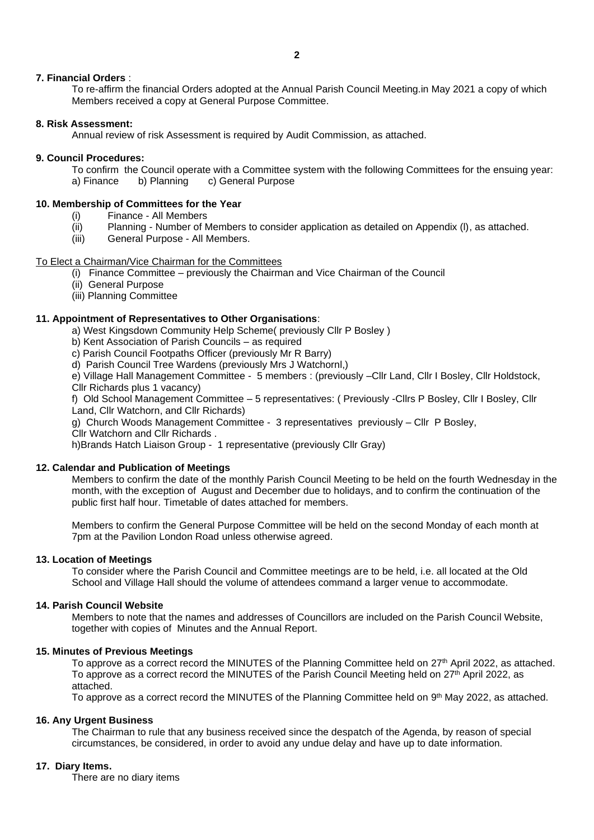## **7. Financial Orders** :

To re-affirm the financial Orders adopted at the Annual Parish Council Meeting.in May 2021 a copy of which Members received a copy at General Purpose Committee.

## **8. Risk Assessment:**

Annual review of risk Assessment is required by Audit Commission, as attached.

## **9. Council Procedures:**

To confirm the Council operate with a Committee system with the following Committees for the ensuing year:<br>a) Finance b) Planning c) General Purpose a) Finance b) Planning c) General Purpose

## **10. Membership of Committees for the Year**

- (i) Finance All Members
- (ii) Planning Number of Members to consider application as detailed on Appendix (I), as attached.<br>(iii) General Purpose All Members.
- General Purpose All Members.

## To Elect a Chairman/Vice Chairman for the Committees

- (i) Finance Committee previously the Chairman and Vice Chairman of the Council
- (ii) General Purpose
- (iii) Planning Committee

## **11. Appointment of Representatives to Other Organisations**:

a) West Kingsdown Community Help Scheme( previously Cllr P Bosley )

- b) Kent Association of Parish Councils as required
- c) Parish Council Footpaths Officer (previously Mr R Barry)
- d) Parish Council Tree Wardens (previously Mrs J Watchornl,)

e) Village Hall Management Committee - 5 members : (previously –Cllr Land, Cllr I Bosley, Cllr Holdstock, Cllr Richards plus 1 vacancy)

f) Old School Management Committee – 5 representatives: ( Previously -Cllrs P Bosley, Cllr I Bosley, Cllr Land, Cllr Watchorn, and Cllr Richards)

g) Church Woods Management Committee - 3 representatives previously – Cllr P Bosley,

Cllr Watchorn and Cllr Richards .

h)Brands Hatch Liaison Group - 1 representative (previously Cllr Gray)

#### **12. Calendar and Publication of Meetings**

Members to confirm the date of the monthly Parish Council Meeting to be held on the fourth Wednesday in the month, with the exception of August and December due to holidays, and to confirm the continuation of the public first half hour. Timetable of dates attached for members.

Members to confirm the General Purpose Committee will be held on the second Monday of each month at 7pm at the Pavilion London Road unless otherwise agreed.

#### **13. Location of Meetings**

To consider where the Parish Council and Committee meetings are to be held, i.e. all located at the Old School and Village Hall should the volume of attendees command a larger venue to accommodate.

## **14. Parish Council Website**

Members to note that the names and addresses of Councillors are included on the Parish Council Website, together with copies of Minutes and the Annual Report.

#### **15. Minutes of Previous Meetings**

To approve as a correct record the MINUTES of the Planning Committee held on 27<sup>th</sup> April 2022, as attached. To approve as a correct record the MINUTES of the Parish Council Meeting held on 27<sup>th</sup> April 2022, as attached.

To approve as a correct record the MINUTES of the Planning Committee held on 9<sup>th</sup> May 2022, as attached.

### **16. Any Urgent Business**

The Chairman to rule that any business received since the despatch of the Agenda, by reason of special circumstances, be considered, in order to avoid any undue delay and have up to date information.

## **17. Diary Items.**

There are no diary items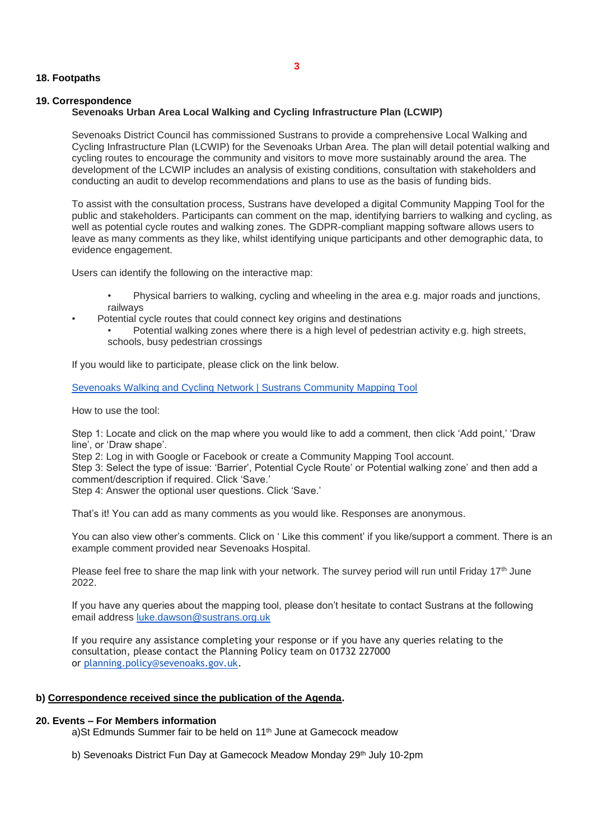### **18. Footpaths**

#### **19. Correspondence Sevenoaks Urban Area Local Walking and Cycling Infrastructure Plan (LCWIP)**

Sevenoaks District Council has commissioned Sustrans to provide a comprehensive Local Walking and Cycling Infrastructure Plan (LCWIP) for the Sevenoaks Urban Area. The plan will detail potential walking and cycling routes to encourage the community and visitors to move more sustainably around the area. The development of the LCWIP includes an analysis of existing conditions, consultation with stakeholders and conducting an audit to develop recommendations and plans to use as the basis of funding bids.

To assist with the consultation process, Sustrans have developed a digital Community Mapping Tool for the public and stakeholders. Participants can comment on the map, identifying barriers to walking and cycling, as well as potential cycle routes and walking zones. The GDPR-compliant mapping software allows users to leave as many comments as they like, whilst identifying unique participants and other demographic data, to evidence engagement.

Users can identify the following on the interactive map:

- Physical barriers to walking, cycling and wheeling in the area e.g. major roads and junctions, railways
- Potential cycle routes that could connect key origins and destinations
	- Potential walking zones where there is a high level of pedestrian activity e.g. high streets, schools, busy pedestrian crossings

If you would like to participate, please click on the link below.

[Sevenoaks Walking and Cycling Network | Sustrans Community Mapping Tool](https://communitymap.uk/project/111)

How to use the tool:

Step 1: Locate and click on the map where you would like to add a comment, then click 'Add point,' 'Draw line', or 'Draw shape'.

Step 2: Log in with Google or Facebook or create a Community Mapping Tool account.

Step 3: Select the type of issue: 'Barrier', Potential Cycle Route' or Potential walking zone' and then add a comment/description if required. Click 'Save.'

Step 4: Answer the optional user questions. Click 'Save.'

That's it! You can add as many comments as you would like. Responses are anonymous.

You can also view other's comments. Click on ' Like this comment' if you like/support a comment. There is an example comment provided near Sevenoaks Hospital.

Please feel free to share the map link with your network. The survey period will run until Friday 17<sup>th</sup> June 2022.

If you have any queries about the mapping tool, please don't hesitate to contact Sustrans at the following email address [luke.dawson@sustrans.org.uk](mailto:luke.dawson@sustrans.org.uk)

If you require any assistance completing your response or if you have any queries relating to the consultation, please contact the Planning Policy team on 01732 227000 or [planning.policy@sevenoaks.gov.uk.](mailto:planning.policy@sevenoaks.gov.uk)

## **b) Correspondence received since the publication of the Agenda.**

#### **20. Events – For Members information**

a)St Edmunds Summer fair to be held on 11<sup>th</sup> June at Gamecock meadow

b) Sevenoaks District Fun Day at Gamecock Meadow Monday 29<sup>th</sup> July 10-2pm